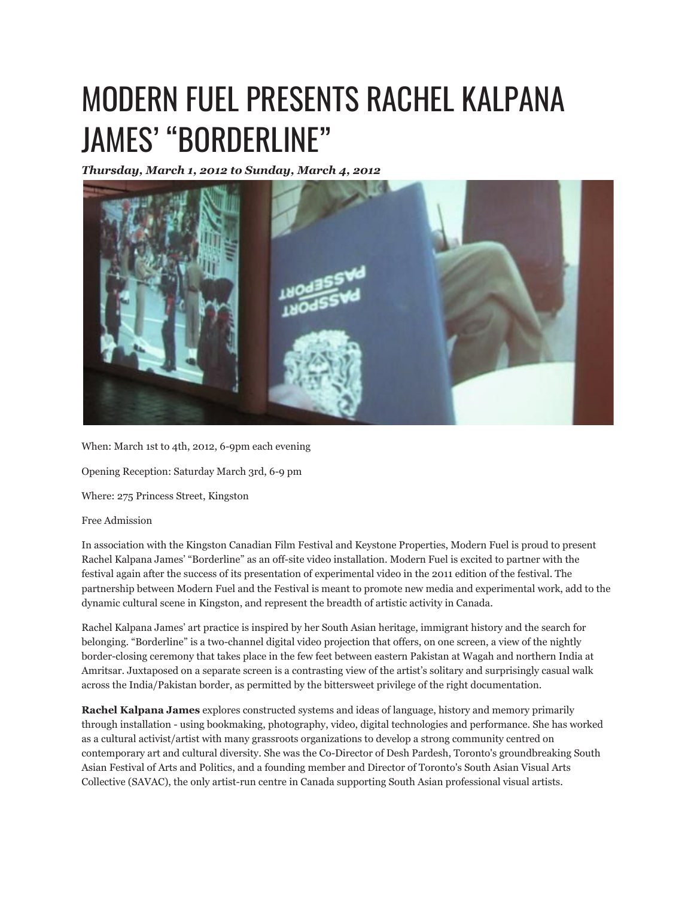## MODERN FUEL PRESENTS RACHEL KALPANA JAMES' "BORDERLINE"

*Thursday, March 1, 2012 to Sunday, March 4, 2012*



When: March 1st to 4th, 2012, 6-9pm each evening

Opening Reception: Saturday March 3rd, 6-9 pm

Where: 275 Princess Street, Kingston

## Free Admission

In association with the Kingston Canadian Film Festival and Keystone Properties, Modern Fuel is proud to present Rachel Kalpana James' "Borderline" as an off-site video installation. Modern Fuel is excited to partner with the festival again after the success of its presentation of experimental video in the 2011 edition of the festival. The partnership between Modern Fuel and the Festival is meant to promote new media and experimental work, add to the dynamic cultural scene in Kingston, and represent the breadth of artistic activity in Canada.

Rachel Kalpana James' art practice is inspired by her South Asian heritage, immigrant history and the search for belonging. "Borderline" is a two-channel digital video projection that offers, on one screen, a view of the nightly border-closing ceremony that takes place in the few feet between eastern Pakistan at Wagah and northern India at Amritsar. Juxtaposed on a separate screen is a contrasting view of the artist's solitary and surprisingly casual walk across the India/Pakistan border, as permitted by the bittersweet privilege of the right documentation.

**Rachel Kalpana James** explores constructed systems and ideas of language, history and memory primarily through installation - using bookmaking, photography, video, digital technologies and performance. She has worked as a cultural activist/artist with many grassroots organizations to develop a strong community centred on contemporary art and cultural diversity. She was the Co-Director of Desh Pardesh, Toronto's groundbreaking South Asian Festival of Arts and Politics, and a founding member and Director of Toronto's South Asian Visual Arts Collective (SAVAC), the only artist-run centre in Canada supporting South Asian professional visual artists.